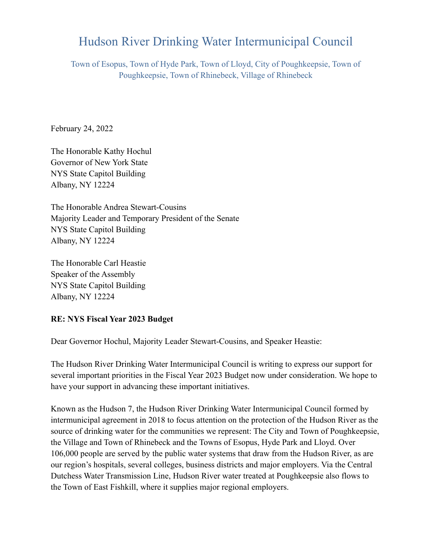## Hudson River Drinking Water Intermunicipal Council

Town of Esopus, Town of Hyde Park, Town of Lloyd, City of Poughkeepsie, Town of Poughkeepsie, Town of Rhinebeck, Village of Rhinebeck

February 24, 2022

The Honorable Kathy Hochul Governor of New York State NYS State Capitol Building Albany, NY 12224

The Honorable Andrea Stewart-Cousins Majority Leader and Temporary President of the Senate NYS State Capitol Building Albany, NY 12224

The Honorable Carl Heastie Speaker of the Assembly NYS State Capitol Building Albany, NY 12224

#### **RE: NYS Fiscal Year 2023 Budget**

Dear Governor Hochul, Majority Leader Stewart-Cousins, and Speaker Heastie:

The Hudson River Drinking Water Intermunicipal Council is writing to express our support for several important priorities in the Fiscal Year 2023 Budget now under consideration. We hope to have your support in advancing these important initiatives.

Known as the Hudson 7, the Hudson River Drinking Water Intermunicipal Council formed by intermunicipal agreement in 2018 to focus attention on the protection of the Hudson River as the source of drinking water for the communities we represent: The City and Town of Poughkeepsie, the Village and Town of Rhinebeck and the Towns of Esopus, Hyde Park and Lloyd. Over 106,000 people are served by the public water systems that draw from the Hudson River, as are our region's hospitals, several colleges, business districts and major employers. Via the Central Dutchess Water Transmission Line, Hudson River water treated at Poughkeepsie also flows to the Town of East Fishkill, where it supplies major regional employers.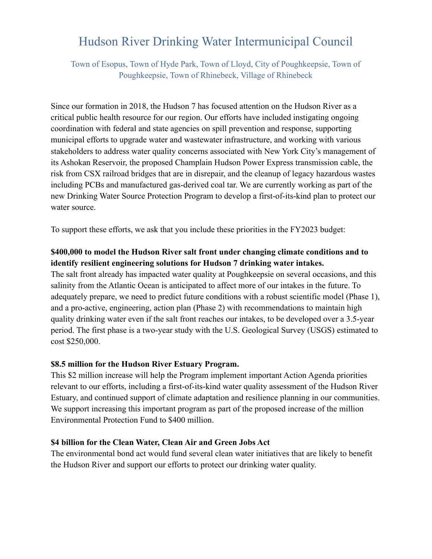# Hudson River Drinking Water Intermunicipal Council

Town of Esopus, Town of Hyde Park, Town of Lloyd, City of Poughkeepsie, Town of Poughkeepsie, Town of Rhinebeck, Village of Rhinebeck

Since our formation in 2018, the Hudson 7 has focused attention on the Hudson River as a critical public health resource for our region. Our efforts have included instigating ongoing coordination with federal and state agencies on spill prevention and response, supporting municipal efforts to upgrade water and wastewater infrastructure, and working with various stakeholders to address water quality concerns associated with New York City's management of its Ashokan Reservoir, the proposed Champlain Hudson Power Express transmission cable, the risk from CSX railroad bridges that are in disrepair, and the cleanup of legacy hazardous wastes including PCBs and manufactured gas-derived coal tar. We are currently working as part of the new Drinking Water Source Protection Program to develop a first-of-its-kind plan to protect our water source.

To support these efforts, we ask that you include these priorities in the FY2023 budget:

### **\$400,000 to model the Hudson River salt front under changing climate conditions and to identify resilient engineering solutions for Hudson 7 drinking water intakes.**

The salt front already has impacted water quality at Poughkeepsie on several occasions, and this salinity from the Atlantic Ocean is anticipated to affect more of our intakes in the future. To adequately prepare, we need to predict future conditions with a robust scientific model (Phase 1), and a pro-active, engineering, action plan (Phase 2) with recommendations to maintain high quality drinking water even if the salt front reaches our intakes, to be developed over a 3.5-year period. The first phase is a two-year study with the U.S. Geological Survey (USGS) estimated to cost \$250,000.

#### **\$8.5 million for the Hudson River Estuary Program.**

This \$2 million increase will help the Program implement important Action Agenda priorities relevant to our efforts, including a first-of-its-kind water quality assessment of the Hudson River Estuary, and continued support of climate adaptation and resilience planning in our communities. We support increasing this important program as part of the proposed increase of the million Environmental Protection Fund to \$400 million.

#### **\$4 billion for the Clean Water, Clean Air and Green Jobs Act**

The environmental bond act would fund several clean water initiatives that are likely to benefit the Hudson River and support our efforts to protect our drinking water quality.